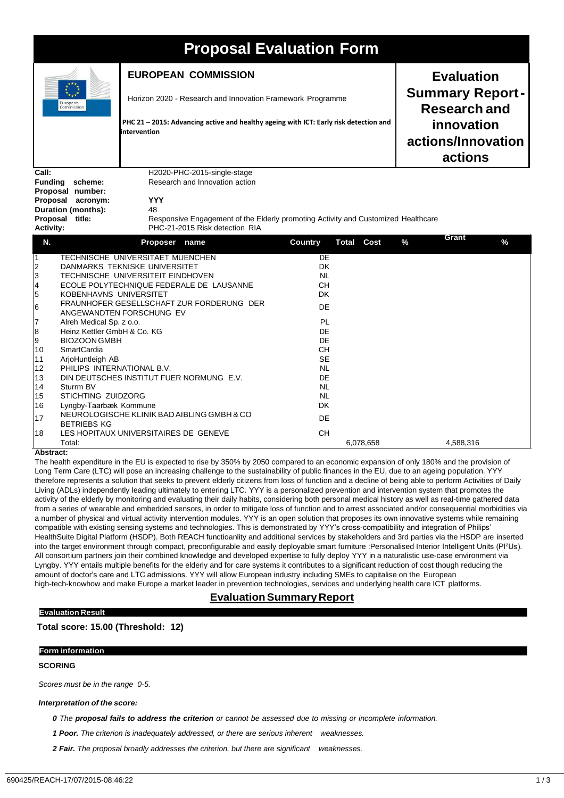| <b>Proposal Evaluation Form</b>                                                                      |                                                                               |                                                                                                                                                                     |                              |       |                                                                                                                   |            |
|------------------------------------------------------------------------------------------------------|-------------------------------------------------------------------------------|---------------------------------------------------------------------------------------------------------------------------------------------------------------------|------------------------------|-------|-------------------------------------------------------------------------------------------------------------------|------------|
| European<br>Commission                                                                               |                                                                               | <b>EUROPEAN COMMISSION</b>                                                                                                                                          |                              |       | <b>Evaluation</b><br><b>Summary Report-</b><br><b>Research and</b><br>innovation<br>actions/Innovation<br>actions |            |
|                                                                                                      |                                                                               | Horizon 2020 - Research and Innovation Framework Programme<br>PHC 21 - 2015: Advancing active and healthy ageing with ICT: Early risk detection and<br>intervention |                              |       |                                                                                                                   |            |
|                                                                                                      |                                                                               |                                                                                                                                                                     |                              | Call: |                                                                                                                   |            |
| <b>Funding</b>                                                                                       | scheme:                                                                       | Research and Innovation action                                                                                                                                      |                              |       |                                                                                                                   |            |
| Proposal                                                                                             | Proposal number:<br>acronym:                                                  | <b>YYY</b>                                                                                                                                                          |                              |       |                                                                                                                   |            |
|                                                                                                      | Duration (months):                                                            | 48                                                                                                                                                                  |                              |       |                                                                                                                   |            |
| Proposal title:<br>Responsive Engagement of the Elderly promoting Activity and Customized Healthcare |                                                                               |                                                                                                                                                                     |                              |       |                                                                                                                   |            |
| PHC-21-2015 Risk detection RIA<br><b>Activity:</b>                                                   |                                                                               |                                                                                                                                                                     |                              |       |                                                                                                                   |            |
| Ν.                                                                                                   |                                                                               | Proposer<br>name                                                                                                                                                    | Country<br><b>Total Cost</b> |       | $\frac{9}{6}$                                                                                                     | Grant<br>% |
| 1                                                                                                    |                                                                               | TECHNISCHE UNIVERSITAET MUENCHEN                                                                                                                                    | <b>DE</b>                    |       |                                                                                                                   |            |
| $\frac{2}{3}$                                                                                        |                                                                               | DANMARKS TEKNISKE UNIVERSITET                                                                                                                                       | DK                           |       |                                                                                                                   |            |
|                                                                                                      | TECHNISCHE UNIVERSITEIT EINDHOVEN<br>ECOLE POLYTECHNIQUE FEDERALE DE LAUSANNE |                                                                                                                                                                     | <b>NL</b><br>CН              |       |                                                                                                                   |            |
| 4<br>5                                                                                               | KOBENHAVNS UNIVERSITET                                                        |                                                                                                                                                                     | DK                           |       |                                                                                                                   |            |
|                                                                                                      |                                                                               | FRAUNHOFER GESELLSCHAFT ZUR FORDERUNG DER                                                                                                                           |                              |       |                                                                                                                   |            |
| 6                                                                                                    |                                                                               | ANGEWANDTEN FORSCHUNG EV                                                                                                                                            | DF                           |       |                                                                                                                   |            |
| 17                                                                                                   | Alreh Medical Sp. z o.o.                                                      |                                                                                                                                                                     | <b>PL</b>                    |       |                                                                                                                   |            |
| $\overline{\mathbf{8}}$                                                                              | Heinz Kettler GmbH & Co. KG                                                   |                                                                                                                                                                     | DE                           |       |                                                                                                                   |            |
| 9                                                                                                    | <b>BIOZOON GMBH</b>                                                           |                                                                                                                                                                     | DE                           |       |                                                                                                                   |            |
| 10                                                                                                   | SmartCardia                                                                   |                                                                                                                                                                     | CН                           |       |                                                                                                                   |            |
| 11<br>12                                                                                             | ArjoHuntleigh AB<br>PHILIPS INTERNATIONAL B.V.                                |                                                                                                                                                                     | <b>SE</b><br><b>NL</b>       |       |                                                                                                                   |            |
| 13                                                                                                   |                                                                               | DIN DEUTSCHES INSTITUT FUER NORMUNG E.V.                                                                                                                            | DE                           |       |                                                                                                                   |            |
| 14                                                                                                   | Sturrm BV                                                                     |                                                                                                                                                                     | <b>NL</b>                    |       |                                                                                                                   |            |
| 15                                                                                                   | STICHTING ZUIDZORG                                                            |                                                                                                                                                                     | <b>NL</b>                    |       |                                                                                                                   |            |
| 16                                                                                                   | Lyngby-Taarbæk Kommune                                                        |                                                                                                                                                                     | DK                           |       |                                                                                                                   |            |
| 17                                                                                                   | <b>BETRIEBS KG</b>                                                            | NEUROLOGISCHE KLINIK BAD AIBLING GMBH & CO                                                                                                                          | <b>DE</b>                    |       |                                                                                                                   |            |

**Abstract:** 18 LES HOPITAUX UNIVERSITAIRES DE GENEVE CH Total: 6,078,658 4,588,316

The health expenditure in the EU is expected to rise by 350% by 2050 compared to an economic expansion of only 180% and the provision of Long Term Care (LTC) will pose an increasing challenge to the sustainability of public finances in the EU, due to an ageing population. YYY therefore represents a solution that seeks to prevent elderly citizens from loss of function and a decline of being able to perform Activities of Daily Living (ADLs) independently leading ultimately to entering LTC. YYY is a personalized prevention and intervention system that promotes the activity of the elderly by monitoring and evaluating their daily habits, considering both personal medical history as well as real-time gathered data from a series of wearable and embedded sensors, in order to mitigate loss of function and to arrest associated and/or consequential morbidities via a number of physical and virtual activity intervention modules. YYY is an open solution that proposes its own innovative systems while remaining compatible with existing sensing systems and technologies. This is demonstrated by YYY's cross-compatibility and integration of Philips' HealthSuite Digital Platform (HSDP). Both REACH functioanlity and additional services by stakeholders and 3rd parties via the HSDP are inserted into the target environment through compact, preconfigurable and easily deployable smart furniture :Personalised Interior Intelligent Units (PI²Us). All consortium partners join their combined knowledge and developed expertise to fully deploy YYY in a naturalistic use-case environment via Lyngby. YYY entails multiple benefits for the elderly and for care systems it contributes to a significant reduction of cost though reducing the amount of doctor's care and LTC admissions. YYY will allow European industry including SMEs to capitalise on the European high-tech-knowhow and make Europe a market leader in prevention technologies, services and underlying health care ICT platforms.

# **Evaluation Summary Report**

#### **Evaluation Result**

**Total score: 15.00 (Threshold: 12)**

### **Form information**

# **SCORING**

*Scores must be in the range 0-5.*

#### *Interpretation of the score:*

0 The proposal fails to address the criterion or cannot be assessed due to missing or incomplete information.

*1 Poor. The criterion is inadequately addressed, or there are serious inherent weaknesses.*

*2 Fair. The proposal broadly addresses the criterion, but there are significant weaknesses.*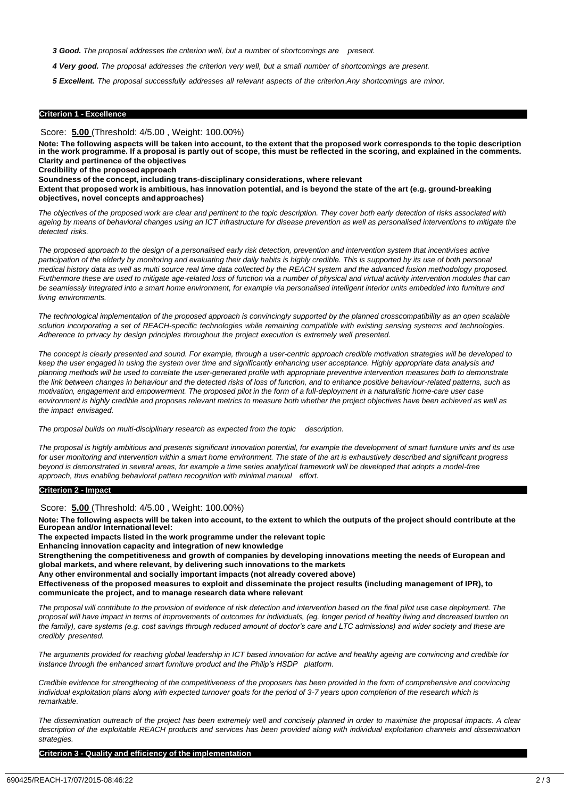*3 Good. The proposal addresses the criterion well, but a number of shortcomings are present.*

4 Very good. The proposal addresses the criterion very well, but a small number of shortcomings are present.

*5 Excellent. The proposal successfully addresses all relevant aspects of the criterion.Any shortcomings are minor.*

#### **Criterion 1 - Excellence**

Score: **5.00** (Threshold: 4/5.00 , Weight: 100.00%)

Note: The following aspects will be taken into account, to the extent that the proposed work corresponds to the topic description in the work programme. If a proposal is partly out of scope, this must be reflected in the scoring, and explained in the comments. **Clarity and pertinence of the objectives** 

**Credibility of the proposed approach**

**Soundness of the concept, including trans-disciplinary considerations, where relevant**

Extent that proposed work is ambitious, has innovation potential, and is beyond the state of the art (e.g. ground-breaking **objectives, novel concepts andapproaches)**

*The objectives of the proposed work are clear and pertinent to the topic description. They cover both early detection of risks associated with ageing by means of behavioral changes using an ICT infrastructure for disease prevention as well as personalised interventions to mitigate the detected risks.*

*The proposed approach to the design of a personalised early risk detection, prevention and intervention system that incentivises active participation of the elderly by monitoring and evaluating their daily habits is highly credible. This is supported by its use of both personal medical history data as well as multi source real time data collected by the REACH system and the advanced fusion methodology proposed. Furthermore these are used to mitigate age-related loss of function via a number of physical and virtual activity intervention modules that can be seamlessly integrated into a smart home environment, for example via personalised intelligent interior units embedded into furniture and living environments.*

*The technological implementation of the proposed approach is convincingly supported by the planned crosscompatibility as an open scalable*  solution incorporating a set of REACH-specific technologies while remaining compatible with existing sensing systems and technologies. *Adherence to privacy by design principles throughout the project execution is extremely well presented.*

*The concept is clearly presented and sound. For example, through a user-centric approach credible motivation strategies will be developed to keep the user engaged in using the system over time and significantly enhancing user acceptance. Highly appropriate data analysis and planning methods will be used to correlate the user-generated profile with appropriate preventive intervention measures both to demonstrate the link between changes in behaviour and the detected risks of loss of function, and to enhance positive behaviour-related patterns, such as motivation, engagement and empowerment. The proposed pilot in the form of a full-deployment in a naturalistic home-care user case environment is highly credible and proposes relevant metrics to measure both whether the project objectives have been achieved as well as the impact envisaged.*

*The proposal builds on multi-disciplinary research as expected from the topic description.*

*The proposal is highly ambitious and presents significant innovation potential, for example the development of smart furniture units and its use for user monitoring and intervention within a smart home environment. The state of the art is exhaustively described and significant progress beyond is demonstrated in several areas, for example a time series analytical framework will be developed that adopts a model-free approach, thus enabling behavioral pattern recognition with minimal manual effort.*

#### **Criterion 2 - Impact**

Score: **5.00** (Threshold: 4/5.00 , Weight: 100.00%)

Note: The following aspects will be taken into account, to the extent to which the outputs of the project should contribute at the **European and/or Internationallevel:**

**The expected impacts listed in the work programme under the relevant topic** 

**Enhancing innovation capacity and integration of new knowledge**

Strengthening the competitiveness and growth of companies by developing innovations meeting the needs of European and **global markets, and where relevant, by delivering such innovations to the markets**

**Any other environmental and socially important impacts (not already covered above)**

Effectiveness of the proposed measures to exploit and disseminate the project results (including management of IPR), to **communicate the project, and to manage research data where relevant**

*The proposal will contribute to the provision of evidence of risk detection and intervention based on the final pilot use case deployment. The proposal will have impact in terms of improvements of outcomes for individuals, (eg. longer period of healthy living and decreased burden on the family), care systems (e.g. cost savings through reduced amount of doctor's care and LTC admissions) and wider society and these are credibly presented.*

*The arguments provided for reaching global leadership in ICT based innovation for active and healthy ageing are convincing and credible for instance through the enhanced smart furniture product and the Philip's HSDP platform.*

*Credible evidence for strengthening of the competitiveness of the proposers has been provided in the form of comprehensive and convincing individual exploitation plans along with expected turnover goals for the period of 3-7 years upon completion of the research which is remarkable.*

*The dissemination outreach of the project has been extremely well and concisely planned in order to maximise the proposal impacts. A clear description of the exploitable REACH products and services has been provided along with individual exploitation channels and dissemination strategies.*

**Criterion 3 - Quality and efficiency of the implementation**